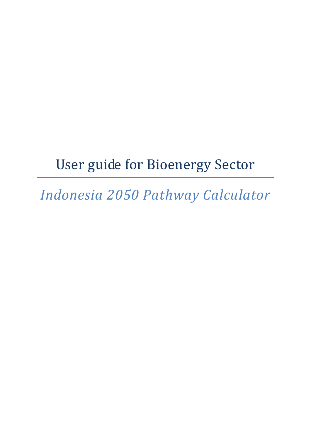# User guide for Bioenergy Sector

*Indonesia 2050 Pathway Calculator*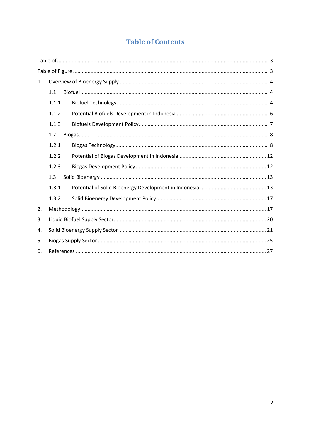# **Table of Contents**

| 1. |       |  |  |  |  |  |
|----|-------|--|--|--|--|--|
|    | 1.1   |  |  |  |  |  |
|    | 1.1.1 |  |  |  |  |  |
|    | 1.1.2 |  |  |  |  |  |
|    | 1.1.3 |  |  |  |  |  |
|    | 1.2   |  |  |  |  |  |
|    | 1.2.1 |  |  |  |  |  |
|    | 1.2.2 |  |  |  |  |  |
|    | 1.2.3 |  |  |  |  |  |
|    | 1.3   |  |  |  |  |  |
|    | 1.3.1 |  |  |  |  |  |
|    | 1.3.2 |  |  |  |  |  |
| 2. |       |  |  |  |  |  |
| 3. |       |  |  |  |  |  |
| 4. |       |  |  |  |  |  |
| 5. |       |  |  |  |  |  |
| 6. |       |  |  |  |  |  |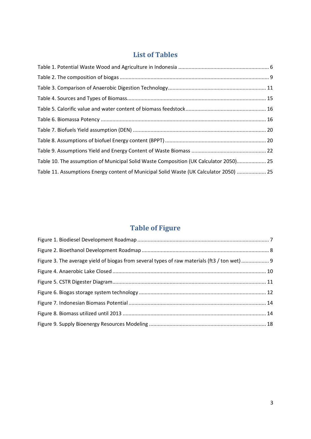# **List of Tables**

<span id="page-2-0"></span>

| Table 10. The assumption of Municipal Solid Waste Composition (UK Calculator 2050) 25  |  |
|----------------------------------------------------------------------------------------|--|
| Table 11. Assumptions Energy content of Municipal Solid Waste (UK Calculator 2050)  25 |  |

# **Table of Figure**

<span id="page-2-1"></span>

| Figure 3. The average yield of biogas from several types of raw materials (ft3 / ton wet) 9 |  |
|---------------------------------------------------------------------------------------------|--|
|                                                                                             |  |
|                                                                                             |  |
|                                                                                             |  |
|                                                                                             |  |
|                                                                                             |  |
|                                                                                             |  |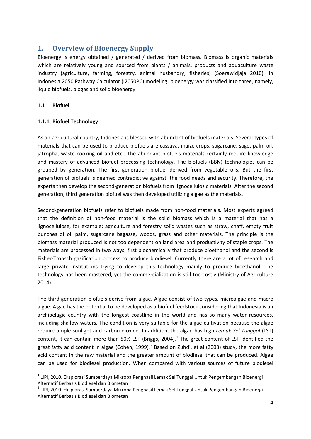# <span id="page-3-0"></span>**1. Overview of Bioenergy Supply**

Bioenergy is energy obtained / generated / derived from biomass. Biomass is organic materials which are relatively young and sourced from plants / animals, products and aquaculture waste industry (agriculture, farming, forestry, animal husbandry, fisheries) (Soerawidjaja 2010). In Indonesia 2050 Pathway Calculator (I2050PC) modeling, bioenergy was classified into three, namely, liquid biofuels, biogas and solid bioenergy.

# <span id="page-3-1"></span>**1.1 Biofuel**

# <span id="page-3-2"></span>**1.1.1 Biofuel Technology**

As an agricultural country, Indonesia is blessed with abundant of biofuels materials. Several types of materials that can be used to produce biofuels are cassava, maize crops, sugarcane, sago, palm oil, jatropha, waste cooking oil and etc.. The abundant biofuels materials certainly require knowledge and mastery of advanced biofuel processing technology. The biofuels (BBN) technologies can be grouped by generation. The first generation biofuel derived from vegetable oils. But the first generation of biofuels is deemed contradictive against the food needs and security. Therefore, the experts then develop the second-generation biofuels from lignocellulosic materials. After the second generation, third generation biofuel was then developed utilizing algae as the materials.

Second-generation biofuels refer to biofuels made from non-food materials. Most experts agreed that the definition of non-food material is the solid biomass which is a material that has a lignocellulose, for example: agriculture and forestry solid wastes such as straw, chaff, empty fruit bunches of oil palm, sugarcane bagasse, woods, grass and other materials. The principle is the biomass material produced is not too dependent on land area and productivity of staple crops. The materials are processed in two ways; first biochemically that produce bioethanol and the second is Fisher-Tropsch gasification process to produce biodiesel. Currently there are a lot of research and large private institutions trying to develop this technology mainly to produce bioethanol. The technology has been mastered, yet the commercialization is still too costly (Ministry of Agriculture 2014).

The third-generation biofuels derive from algae. Algae consist of two types, microalgae and macro algae. Algae has the potential to be developed as a biofuel feedstock considering that Indonesia is an archipelagic country with the longest coastline in the world and has so many water resources, including shallow waters. The condition is very suitable for the algae cultivation because the algae require ample sunlight and carbon dioxide. In addition, the algae has high *Lemak Sel Tunggal* (LST) content, it can contain more than 50% LST (Briggs, 2004).<sup>[1](#page-3-3)</sup> The great content of LST identified the great fatty acid content in algae (Cohen, 1999).<sup>[2](#page-3-4)</sup> Based on Zuhdi, et al (2003) study, the more fatty acid content in the raw material and the greater amount of biodiesel that can be produced. Algae can be used for biodiesel production. When compared with various sources of future biodiesel

<span id="page-3-3"></span> $1$  LIPI, 2010. Eksplorasi Sumberdaya Mikroba Penghasil Lemak Sel Tunggal Untuk Pengembangan Bioenergi Alternatif Berbasis Biodiesel dan Biometan

<span id="page-3-4"></span><sup>&</sup>lt;sup>2</sup> LIPI, 2010. Eksplorasi Sumberdaya Mikroba Penghasil Lemak Sel Tunggal Untuk Pengembangan Bioenergi Alternatif Berbasis Biodiesel dan Biometan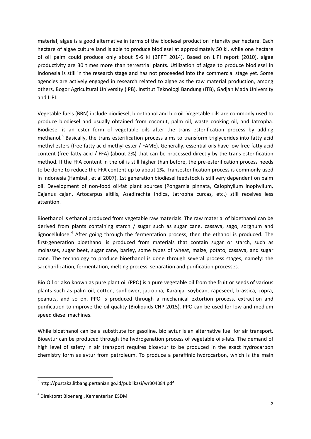material, algae is a good alternative in terms of the biodiesel production intensity per hectare. Each hectare of algae culture land is able to produce biodiesel at approximately 50 kl, while one hectare of oil palm could produce only about 5-6 kl (BPPT 2014). Based on LIPI report (2010), algae productivity are 30 times more than terrestrial plants. Utilization of algae to produce biodiesel in Indonesia is still in the research stage and has not proceeded into the commercial stage yet. Some agencies are actively engaged in research related to algae as the raw material production, among others, Bogor Agricultural University (IPB), Institut Teknologi Bandung (ITB), Gadjah Mada University and LIPI.

Vegetable fuels (BBN) include biodiesel, bioethanol and bio oil. Vegetable oils are commonly used to produce biodiesel and usually obtained from coconut, palm oil, waste cooking oil, and Jatropha. Biodiesel is an ester form of vegetable oils after the trans esterification process by adding methanol.<sup>[3](#page-4-0)</sup> Basically, the trans esterification process aims to transform triglycerides into fatty acid methyl esters (free fatty acid methyl ester / FAME). Generally, essential oils have low free fatty acid content (free fatty acid / FFA) (about 2%) that can be processed directly by the trans esterification method. If the FFA content in the oil is still higher than before, the pre-esterification process needs to be done to reduce the FFA content up to about 2%. Transesterification process is commonly used in Indonesia (Hambali, et al 2007). 1st generation biodiesel feedstock is still very dependent on palm oil. Development of non-food oil-fat plant sources (Pongamia pinnata, Calophyllum inophyllum, Cajanus cajan, Artocarpus altilis, Azadirachta indica, Jatropha curcas, etc.) still receives less attention.

Bioethanol is ethanol produced from vegetable raw materials. The raw material of bioethanol can be derived from plants containing starch / sugar such as sugar cane, cassava, sago, sorghum and lignocellulose.<sup>[4](#page-4-1)</sup> After going through the fermentation process, then the ethanol is produced. The first-generation bioethanol is produced from materials that contain sugar or starch, such as molasses, sugar beet, sugar cane, barley, some types of wheat, maize, potato, cassava, and sugar cane. The technology to produce bioethanol is done through several process stages, namely: the saccharification, fermentation, melting process, separation and purification processes.

Bio Oil or also known as pure plant oil (PPO) is a pure vegetable oil from the fruit or seeds of various plants such as palm oil, cotton, sunflower, jatropha, Karanja, soybean, rapeseed, brassica, copra, peanuts, and so on. PPO is produced through a mechanical extortion process, extraction and purification to improve the oil quality (Bioliquids-CHP 2015). PPO can be used for low and medium speed diesel machines.

While bioethanol can be a substitute for gasoline, bio avtur is an alternative fuel for air transport. Bioavtur can be produced through the hydrogenation process of vegetable oils-fats. The demand of high level of safety in air transport requires bioavtur to be produced in the exact hydrocarbon chemistry form as avtur from petroleum. To produce a paraffinic hydrocarbon, which is the main

<span id="page-4-0"></span> <sup>3</sup> http://pustaka.litbang.pertanian.go.id/publikasi/wr304084.pdf

<span id="page-4-1"></span><sup>4</sup> Direktorat Bioenergi, Kementerian ESDM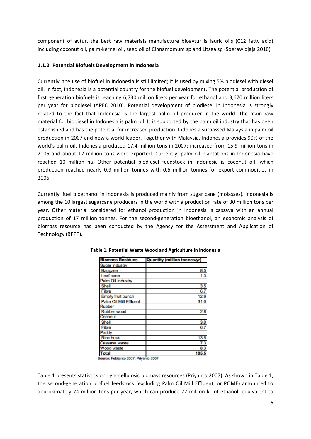component of avtur, the best raw materials manufacture bioavtur is lauric oils (C12 fatty acid) including coconut oil, palm-kernel oil, seed oil of Cinnamomum sp and Litsea sp (Soerawidjaja 2010).

# <span id="page-5-0"></span>**1.1.2 Potential Biofuels Development in Indonesia**

Currently, the use of biofuel in Indonesia is still limited; it is used by mixing 5% biodiesel with diesel oil. In fact, Indonesia is a potential country for the biofuel development. The potential production of first generation biofuels is reaching 6,730 million liters per year for ethanol and 3,670 million liters per year for biodiesel (APEC 2010). Potential development of biodiesel in Indonesia is strongly related to the fact that Indonesia is the largest palm oil producer in the world. The main raw material for biodiesel in Indonesia is palm oil. It is supported by the palm oil industry that has been established and has the potential for increased production. Indonesia surpassed Malaysia in palm oil production in 2007 and now a world leader. Together with Malaysia, Indonesia provides 90% of the world's palm oil. Indonesia produced 17.4 million tons in 2007; increased from 15.9 million tons in 2006 and about 12 million tons were exported. Currently, palm oil plantations in Indonesia have reached 10 million ha. Other potential biodiesel feedstock in Indonesia is coconut oil, which production reached nearly 0.9 million tonnes with 0.5 million tonnes for export commodities in 2006.

Currently, fuel bioethanol in Indonesia is produced mainly from sugar cane (molasses). Indonesia is among the 10 largest sugarcane producers in the world with a production rate of 30 million tons per year. Other material considered for ethanol production in Indonesia is cassava with an annual production of 17 million tonnes. For the second-generation bioethanol, an economic analysis of biomass resource has been conducted by the Agency for the Assessment and Application of Technology (BPPT).

| <b>Biomass Residues</b>  | <b>Quantity (million tonnes/yr)</b> |
|--------------------------|-------------------------------------|
| Sugar industry           |                                     |
| Baggase                  | 8.5                                 |
| Leaf cane                | 1.3                                 |
| Palm Oil Industry        |                                     |
| Shell                    | 3.5                                 |
| Fibre                    | 6.7                                 |
| <b>Empty fruit bunch</b> | 12.9                                |
| Palm Oil Mill Effluent   | 31.0                                |
| Rubber                   |                                     |
| Rubber wood              | 2.8                                 |
| Coconut                  |                                     |
| Shell                    | 3.0                                 |
| Fibre                    | 6.7                                 |
| Paddy                    |                                     |
| <b>Rice husk</b>         | 13.5                                |
| Cassava waste            | 7.3                                 |
| Wood waste               | 8.3                                 |
| <b>Total</b>             | 105.5                               |

#### <span id="page-5-1"></span>**Table 1. Potential Waste Wood and Agriculture in Indonesia**

Source: Febijanto 2007; Priyanto 2007

Table 1 presents statistics on lignocellulosic biomass resources (Priyanto 2007). As shown in Table 1, the second-generation biofuel feedstock (excluding Palm Oil Mill Effluent, or POME) amounted to approximately 74 million tons per year, which can produce 22 million kL of ethanol, equivalent to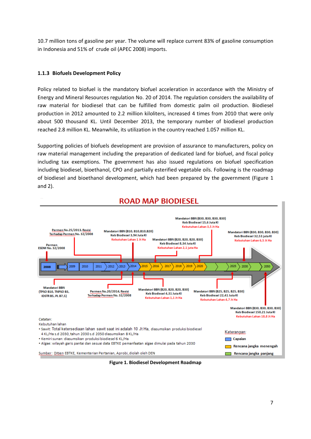10.7 million tons of gasoline per year. The volume will replace current 83% of gasoline consumption in Indonesia and 51% of crude oil (APEC 2008) imports.

## <span id="page-6-0"></span>**1.1.3 Biofuels Development Policy**

Policy related to biofuel is the mandatory biofuel acceleration in accordance with the Ministry of Energy and Mineral Resources regulation No. 20 of 2014. The regulation considers the availability of raw material for biodiesel that can be fulfilled from domestic palm oil production. Biodiesel production in 2012 amounted to 2.2 million kiloliters, increased 4 times from 2010 that were only about 500 thousand KL. Until December 2013, the temporary number of biodiesel production reached 2.8 million KL. Meanwhile, its utilization in the country reached 1.057 million KL.

Supporting policies of biofuels development are provision of assurance to manufacturers, policy on raw material management including the preparation of dedicated land for biofuel, and fiscal policy including tax exemptions. The government has also issued regulations on biofuel specification including biodiesel, bioethanol, CPO and partially esterified vegetable oils. Following is the roadmap of biodiesel and bioethanol development, which had been prepared by the government (Figure 1 and 2).



**ROAD MAP BIODIESEL** 

<span id="page-6-1"></span>**Figure 1. Biodiesel Development Roadmap**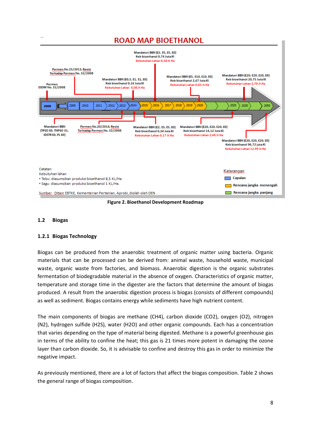

**Figure 2. Bioethanol Development Roadmap**

#### <span id="page-7-2"></span><span id="page-7-0"></span>**1.2 Biogas**

#### <span id="page-7-1"></span>**1.2.1 Biogas Technology**

Biogas can be produced from the anaerobic treatment of organic matter using bacteria. Organic materials that can be processed can be derived from: animal waste, household waste, municipal waste, organic waste from factories, and biomass. Anaerobic digestion is the organic substrates fermentation of biodegradable material in the absence of oxygen. Characteristics of organic matter, temperature and storage time in the digester are the factors that determine the amount of biogas produced. A result from the anaerobic digestion process is biogas (consists of different compounds) as well as sediment. Biogas contains energy while sediments have high nutrient content.

The main components of biogas are methane (CH4), carbon dioxide (CO2), oxygen (O2), nitrogen (N2), hydrogen sulfide (H2S), water (H2O) and other organic compounds. Each has a concentration that varies depending on the type of material being digested. Methane is a powerful greenhouse gas in terms of the ability to confine the heat; this gas is 21 times more potent in damaging the ozone layer than carbon dioxide. So, it is advisable to confine and destroy this gas in order to minimize the negative impact.

As previously mentioned, there are a lot of factors that affect the biogas composition. Table 2 shows the general range of biogas composition.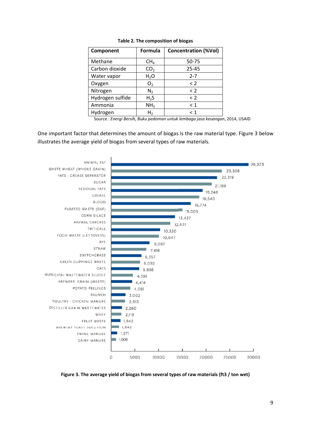<span id="page-8-0"></span>

| Component        | Formula         | <b>Concentration (%Vol)</b> |
|------------------|-----------------|-----------------------------|
| Methane          | CH <sub>4</sub> | 50-75                       |
| Carbon dioxide   | CO <sub>2</sub> | 25-45                       |
| Water vapor      | $H_2O$          | $2 - 7$                     |
| Oxygen           | O <sub>2</sub>  | $\leq$ 2                    |
| Nitrogen         | N <sub>2</sub>  | $\leq$ 2                    |
| Hydrogen sulfide | $H_2S$          | < 2                         |
| Ammonia          | NH <sub>3</sub> | < 1                         |
| Hydrogen         | H,              | < 1                         |

**Table 2. The composition of biogas**

Source : *Energi Bersih, Buku pedoman untuk lembaga jasa keuangan*, 2014, USAID

One important factor that determines the amount of biogas is the raw material type. Figure 3 below illustrates the average yield of biogas from several types of raw materials.



<span id="page-8-1"></span>**Figure 3. The average yield of biogas from several types of raw materials (ft3 / ton wet)**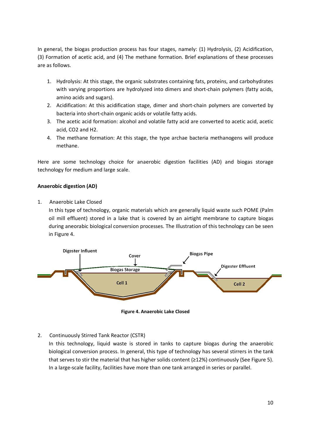In general, the biogas production process has four stages, namely: (1) Hydrolysis, (2) Acidification, (3) Formation of acetic acid, and (4) The methane formation. Brief explanations of these processes are as follows.

- 1. Hydrolysis: At this stage, the organic substrates containing fats, proteins, and carbohydrates with varying proportions are hydrolyzed into dimers and short-chain polymers (fatty acids, amino acids and sugars).
- 2. Acidification: At this acidification stage, dimer and short-chain polymers are converted by bacteria into short-chain organic acids or volatile fatty acids.
- 3. The acetic acid formation: alcohol and volatile fatty acid are converted to acetic acid, acetic acid, CO2 and H2.
- 4. The methane formation: At this stage, the type archae bacteria methanogens will produce methane.

Here are some technology choice for anaerobic digestion facilities (AD) and biogas storage technology for medium and large scale.

## **Anaerobic digestion (AD)**

1. Anaerobic Lake Closed

In this type of technology, organic materials which are generally liquid waste such POME (Palm oil mill effluent) stored in a lake that is covered by an airtight membrane to capture biogas during aneorabic biological conversion processes. The Illustration of this technology can be seen in Figure 4.



**Figure 4. Anaerobic Lake Closed**

# <span id="page-9-0"></span>2. Continuously Stirred Tank Reactor (CSTR)

In this technology, liquid waste is stored in tanks to capture biogas during the anaerobic biological conversion process. In general, this type of technology has several stirrers in the tank that serves to stir the material that has higher solids content (≥12%) continuously (See Figure 5). In a large-scale facility, facilities have more than one tank arranged in series or parallel.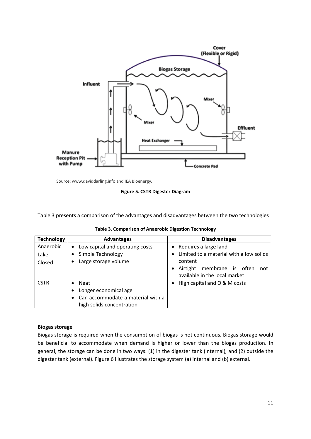

<span id="page-10-1"></span>Source: www.daviddarling.info and IEA Bioenergy.

**Figure 5. CSTR Digester Diagram**

Table 3 presents a comparison of the advantages and disadvantages between the two technologies

<span id="page-10-0"></span>

| <b>Technology</b> | <b>Advantages</b>                 | <b>Disadvantages</b>                    |  |  |  |  |  |  |
|-------------------|-----------------------------------|-----------------------------------------|--|--|--|--|--|--|
| Anaerobic         | • Low capital and operating costs | • Requires a large land                 |  |  |  |  |  |  |
| Lake              | Simple Technology                 | Limited to a material with a low solids |  |  |  |  |  |  |
| Closed            | Large storage volume              | content                                 |  |  |  |  |  |  |
|                   |                                   | Airtight membrane is often<br>not       |  |  |  |  |  |  |
|                   |                                   | available in the local market           |  |  |  |  |  |  |
| <b>CSTR</b>       | <b>Neat</b>                       | • High capital and O & M costs          |  |  |  |  |  |  |
|                   | Longer economical age             |                                         |  |  |  |  |  |  |

• Can accommodate a material with a

high solids concentration

**Table 3. Comparison of Anaerobic Digestion Technology**

#### **Biogas storage**

Biogas storage is required when the consumption of biogas is not continuous. Biogas storage would be beneficial to accommodate when demand is higher or lower than the biogas production. In general, the storage can be done in two ways: (1) in the digester tank (internal), and (2) outside the digester tank (external). Figure 6 illustrates the storage system (a) internal and (b) external.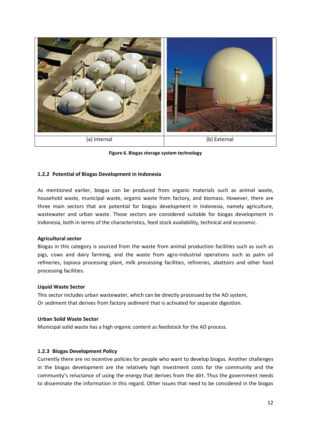

**Figure 6. Biogas storage system technology**

## <span id="page-11-2"></span><span id="page-11-0"></span>**1.2.2 Potential of Biogas Development in Indonesia**

As mentioned earlier, biogas can be produced from organic materials such as animal waste, household waste, municipal waste, organic waste from factory, and biomass. However, there are three main sectors that are potential for biogas development in Indonesia, namely agriculture, wastewater and urban waste. Those sectors are considered suitable for biogas development in Indonesia, both in terms of the characteristics, feed stock availability, technical and economic.

#### **Agricultural sector**

Biogas in this category is sourced from the waste from animal production facilities such as such as pigs, cows and dairy farming, and the waste from agro-industrial operations such as palm oil refineries, tapioca processing plant, milk processing facilities, refineries, abattoirs and other food processing facilities.

#### **Liquid Waste Sector**

This sector includes urban wastewater, which can be directly processed by the AD system, Or sediment that derives from factory sediment that is activated for separate digestion.

#### **Urban Solid Waste Sector**

Municipal solid waste has a high organic content as feedstock for the AD process.

#### <span id="page-11-1"></span>**1.2.3 Biogas Development Policy**

Currently there are no incentive policies for people who want to develop biogas. Another challenges in the biogas development are the relatively high investment costs for the community and the community's reluctance of using the energy that derives from the dirt. Thus the government needs to disseminate the information in this regard. Other issues that need to be considered in the biogas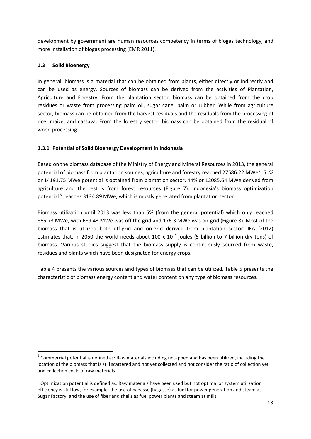development by government are human resources competency in terms of biogas technology, and more installation of biogas processing (EMR 2011).

# <span id="page-12-0"></span>**1.3 Solid Bioenergy**

In general, biomass is a material that can be obtained from plants, either directly or indirectly and can be used as energy. Sources of biomass can be derived from the activities of Plantation, Agriculture and Forestry. From the plantation sector, biomass can be obtained from the crop residues or waste from processing palm oil, sugar cane, palm or rubber. While from agriculture sector, biomass can be obtained from the harvest residuals and the residuals from the processing of rice, maize, and cassava. From the forestry sector, biomass can be obtained from the residual of wood processing.

# <span id="page-12-1"></span>**1.3.1 Potential of Solid Bioenergy Development in Indonesia**

Based on the biomass database of the Ministry of Energy and Mineral Resources in 2013, the general potential of biomass from plantation sources, agriculture and forestry reached 27[5](#page-12-2)86.22 MWe<sup>5</sup>. 51% or 14191.75 MWe potential is obtained from plantation sector, 44% or 12085.64 MWe derived from agriculture and the rest is from forest resources (Figure 7). Indonesia's biomass optimization potential <sup>[6](#page-12-3)</sup> reaches 3134.89 MWe, which is mostly generated from plantation sector.

Biomass utilization until 2013 was less than 5% (from the general potential) which only reached 865.73 MWe, with 689.43 MWe was off the grid and 176.3 MWe was on-grid (Figure 8). Most of the biomass that is utilized both off-grid and on-grid derived from plantation sector. IEA (2012) estimates that, in 2050 the world needs about 100 x  $10^{18}$  joules (5 billion to 7 billion dry tons) of biomass. Various studies suggest that the biomass supply is continuously sourced from waste, residues and plants which have been designated for energy crops.

Table 4 presents the various sources and types of biomass that can be utilized. Table 5 presents the characteristic of biomass energy content and water content on any type of biomass resources.

<span id="page-12-2"></span> <sup>5</sup> Commercial potential is defined as: Raw materials including untapped and has been utilized, including the location of the biomass that is still scattered and not yet collected and not consider the ratio of collection yet and collection costs of raw materials

<span id="page-12-3"></span> $6$  Optimization potential is defined as: Raw materials have been used but not optimal or system utilization efficiency is still low, for example: the use of bagasse (bagasse) as fuel for power generation and steam at Sugar Factory, and the use of fiber and shells as fuel power plants and steam at mills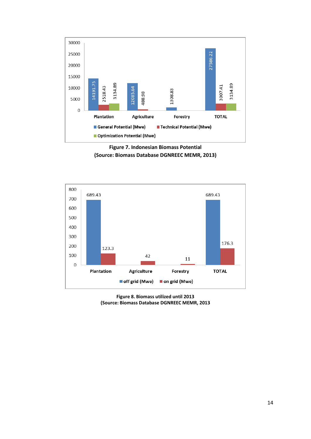

**Figure 7. Indonesian Biomass Potential (Source: Biomass Database DGNREEC MEMR, 2013)**

<span id="page-13-0"></span>

<span id="page-13-1"></span>**Figure 8. Biomass utilized until 2013 (Source: Biomass Database DGNREEC MEMR, 2013**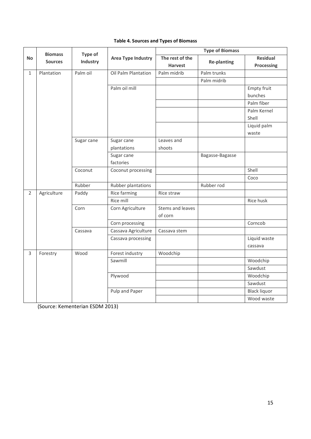| <b>Table 4. Sources and Types of Biomass</b> |  |  |
|----------------------------------------------|--|--|
|----------------------------------------------|--|--|

<span id="page-14-0"></span>

|                | <b>Biomass</b>  |            | Type of                   | <b>Type of Biomass</b>            |                    |                               |  |
|----------------|-----------------|------------|---------------------------|-----------------------------------|--------------------|-------------------------------|--|
| <b>No</b>      | <b>Sources</b>  | Industry   | <b>Area Type Industry</b> | The rest of the<br><b>Harvest</b> | <b>Re-planting</b> | <b>Residual</b><br>Processing |  |
| $\mathbf{1}$   | Plantation      | Palm oil   | Oil Palm Plantation       | Palm midrib                       | Palm trunks        |                               |  |
|                |                 |            |                           |                                   | Palm midrib        |                               |  |
|                |                 |            | Palm oil mill             |                                   |                    | <b>Empty fruit</b>            |  |
|                |                 |            |                           |                                   |                    | bunches                       |  |
|                |                 |            |                           |                                   |                    | Palm fiber                    |  |
|                |                 |            |                           |                                   |                    | Palm Kernel                   |  |
|                |                 |            |                           |                                   |                    | Shell                         |  |
|                |                 |            |                           |                                   |                    | Liquid palm                   |  |
|                |                 |            |                           |                                   |                    | waste                         |  |
|                |                 | Sugar cane | Sugar cane                | Leaves and                        |                    |                               |  |
|                |                 |            | plantations               | shoots                            |                    |                               |  |
|                |                 |            | Sugar cane                |                                   | Bagasse-Bagasse    |                               |  |
|                |                 |            | factories                 |                                   |                    |                               |  |
|                |                 | Coconut    | Coconut processing        |                                   |                    | Shell                         |  |
|                |                 |            |                           |                                   |                    | Coco                          |  |
|                |                 | Rubber     | Rubber plantations        |                                   | Rubber rod         |                               |  |
| $\overline{2}$ | Agriculture     | Paddy      | Rice farming              | Rice straw                        |                    |                               |  |
|                |                 |            | Rice mill                 |                                   |                    | Rice husk                     |  |
|                |                 | Corn       | Corn Agriculture          | Stems and leaves                  |                    |                               |  |
|                |                 |            |                           | of corn                           |                    |                               |  |
|                | Corn processing |            |                           |                                   | Corncob            |                               |  |
|                |                 | Cassava    | Cassava Agriculture       | Cassava stem                      |                    |                               |  |
|                |                 |            | Cassava processing        |                                   |                    | Liquid waste                  |  |
|                |                 |            |                           |                                   |                    | cassava                       |  |
| 3              | Forestry        | Wood       | Forest industry           | Woodchip                          |                    |                               |  |
|                |                 |            | Sawmill                   |                                   |                    | Woodchip                      |  |
|                |                 |            |                           |                                   |                    | Sawdust                       |  |
|                | Plywood         |            |                           |                                   | Woodchip           |                               |  |
|                |                 |            |                           |                                   |                    | Sawdust                       |  |
|                |                 |            | Pulp and Paper            |                                   |                    | <b>Black liquor</b>           |  |
|                |                 |            |                           |                                   |                    | Wood waste                    |  |

(Source: Kementerian ESDM 2013)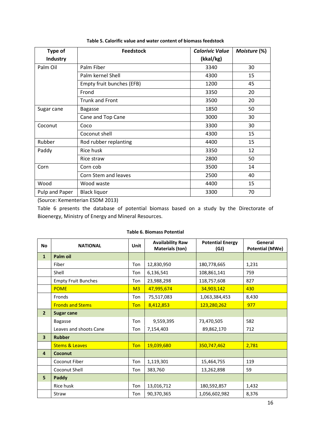<span id="page-15-0"></span>

| <b>Type of</b>               | <b>Feedstock</b>          | <b>Calorivic Value</b> | Moisture (%) |
|------------------------------|---------------------------|------------------------|--------------|
| Industry                     |                           | (kkal/kg)              |              |
| Palm Oil                     | Palm Fiber                | 3340                   | 30           |
|                              | Palm kernel Shell         | 4300                   | 15           |
|                              | Empty fruit bunches (EFB) | 1200                   | 45           |
|                              | Frond                     | 3350                   | 20           |
|                              | <b>Trunk and Front</b>    | 3500                   | 20           |
| Sugar cane<br><b>Bagasse</b> |                           | 1850                   | 50           |
|                              | Cane and Top Cane         | 3000                   | 30           |
| Coconut                      | Coco                      | 3300                   | 30           |
|                              | Coconut shell             | 4300                   | 15           |
| Rubber                       | Rod rubber replanting     | 4400                   | 15           |
| Paddy                        | Rice husk                 | 3350                   | 12           |
|                              | Rice straw                | 2800                   | 50           |
| Corn                         | Corn cob                  | 3500                   | 14           |
|                              | Corn Stem and leaves      | 2500                   | 40           |
| Wood                         | Wood waste                | 4400                   | 15           |
| Pulp and Paper               | <b>Black liquor</b>       | 3300                   | 70           |

**Table 5. Calorific value and water content of biomass feedstock**

(Source: Kementerian ESDM 2013)

Table 6 presents the database of potential biomass based on a study by the Directorate of Bioenergy, Ministry of Energy and Mineral Resources.

<span id="page-15-1"></span>

| <b>No</b>               | <b>NATIONAL</b>            | Unit           | <b>Availability Raw</b><br><b>Materials (ton)</b> | <b>Potential Energy</b><br>(GJ) | General<br><b>Potential (MWe)</b> |
|-------------------------|----------------------------|----------------|---------------------------------------------------|---------------------------------|-----------------------------------|
| $\mathbf{1}$            | Palm oil                   |                |                                                   |                                 |                                   |
|                         | Fiber                      | Ton            | 12,830,950                                        | 180,778,665                     | 1,231                             |
|                         | Shell                      | Ton            | 6,136,541                                         | 108,861,141                     | 759                               |
|                         | <b>Empty Fruit Bunches</b> | Ton            | 23,988,298                                        | 118,757,608                     | 827                               |
|                         | <b>POME</b>                | M <sub>3</sub> | 47,995,674                                        | 34,903,142                      | 430                               |
|                         | Fronds                     | Ton            | 75,517,083                                        | 1,063,384,453                   | 8,430                             |
|                         | <b>Fronds and Stems</b>    | Ton            | 8,412,853                                         | 123,280,262                     | 977                               |
| 2 <sup>2</sup>          | <b>Sugar cane</b>          |                |                                                   |                                 |                                   |
|                         | <b>Bagasse</b>             | Ton            | 9,559,395                                         | 73,470,505                      | 582                               |
|                         | Leaves and shoots Cane     | Ton            | 7,154,403                                         | 89,862,170                      | 712                               |
| $\overline{\mathbf{3}}$ | <b>Rubber</b>              |                |                                                   |                                 |                                   |
|                         | <b>Stems &amp; Leaves</b>  | Ton            | 19,039,680                                        | 350,747,462                     | 2,781                             |
| $\overline{4}$          | Coconut                    |                |                                                   |                                 |                                   |
|                         | Coconut Fiber              | Ton            | 1,119,301                                         | 15,464,755                      | 119                               |
|                         | Coconut Shell              | Ton            | 383,760                                           | 13,262,898                      | 59                                |
| 5                       | Paddy                      |                |                                                   |                                 |                                   |
|                         | Rice husk                  | Ton            | 13,016,712                                        | 180,592,857                     | 1,432                             |
|                         | Straw                      | Ton            | 90,370,365                                        | 1,056,602,982                   | 8,376                             |

#### **Table 6. Biomass Potential**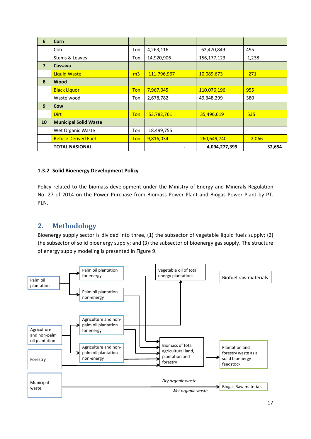| 6              | Corn                         |                |             |               |        |
|----------------|------------------------------|----------------|-------------|---------------|--------|
|                | Cob                          | Ton            | 4,263,116   | 62,470,849    | 495    |
|                | Stems & Leaves               | Ton            | 14,920,906  | 156,177,123   | 1,238  |
| $\overline{7}$ | Cassava                      |                |             |               |        |
|                | <b>Liquid Waste</b>          | m <sub>3</sub> | 111,796,967 | 10,089,673    | 271    |
| 8              | <b>Wood</b>                  |                |             |               |        |
|                | <b>Black Liquor</b>          | Ton            | 7,967,045   | 110,076,196   | 955    |
|                | Waste wood                   | Ton            | 2,678,782   | 49,348,299    | 380    |
| 9              | Cow                          |                |             |               |        |
|                | <b>Dirt</b>                  | <b>Ton</b>     | 53,782,761  | 35,496,619    | 535    |
| 10             | <b>Municipal Solid Waste</b> |                |             |               |        |
|                | Wet Organic Waste            | Ton            | 18,499,755  |               |        |
|                | <b>Refuse Derived Fuel</b>   | <b>Ton</b>     | 9,816,034   | 260,649,740   | 2,066  |
|                | <b>TOTAL NASIONAL</b>        |                |             | 4,094,277,399 | 32,654 |

# <span id="page-16-0"></span>**1.3.2 Solid Bioenergy Development Policy**

Policy related to the biomass development under the Ministry of Energy and Minerals Regulation No. 27 of 2014 on the Power Purchase from Biomass Power Plant and Biogas Power Plant by PT. PLN.

# <span id="page-16-1"></span>**2. Methodology**

Bioenergy supply sector is divided into three, (1) the subsector of vegetable liquid fuels supply; (2) the subsector of solid bioenergy supply; and (3) the subsector of bioenergy gas supply. The structure of energy supply modeling is presented in Figure 9.

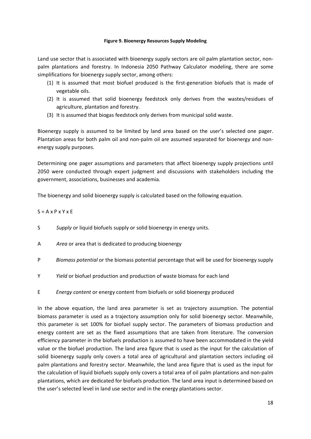#### **Figure 9. Bioenergy Resources Supply Modeling**

<span id="page-17-0"></span>Land use sector that is associated with bioenergy supply sectors are oil palm plantation sector, nonpalm plantations and forestry. In Indonesia 2050 Pathway Calculator modeling, there are some simplifications for bioenergy supply sector, among others:

- (1) It is assumed that most biofuel produced is the first-generation biofuels that is made of vegetable oils.
- (2) It is assumed that solid bioenergy feedstock only derives from the wastes/residues of agriculture, plantation and forestry.
- (3) It is assumed that biogas feedstock only derives from municipal solid waste.

Bioenergy supply is assumed to be limited by land area based on the user's selected one pager. Plantation areas for both palm oil and non-palm oil are assumed separated for bioenergy and nonenergy supply purposes.

Determining one pager assumptions and parameters that affect bioenergy supply projections until 2050 were conducted through expert judgment and discussions with stakeholders including the government, associations, businesses and academia.

The bioenergy and solid bioenergy supply is calculated based on the following equation.

# $S = A x P x Y x E$

- S *Supply* or liquid biofuels supply or solid bioenergy in energy units.
- A *Area* or area that is dedicated to producing bioenergy
- P *Biomass potential* or the biomass potential percentage that will be used for bioenergy supply
- Y *Yield* or biofuel production and production of waste biomass for each land
- E *Energy content* or energy content from biofuels or solid bioenergy produced

In the above equation, the land area parameter is set as trajectory assumption. The potential biomass parameter is used as a trajectory assumption only for solid bioenergy sector. Meanwhile, this parameter is set 100% for biofuel supply sector. The parameters of biomass production and energy content are set as the fixed assumptions that are taken from literature. The conversion efficiency parameter in the biofuels production is assumed to have been accommodated in the yield value or the biofuel production. The land area figure that is used as the input for the calculation of solid bioenergy supply only covers a total area of agricultural and plantation sectors including oil palm plantations and forestry sector. Meanwhile, the land area figure that is used as the input for the calculation of liquid biofuels supply only covers a total area of oil palm plantations and non-palm plantations, which are dedicated for biofuels production. The land area input is determined based on the user's selected level in land use sector and in the energy plantations sector.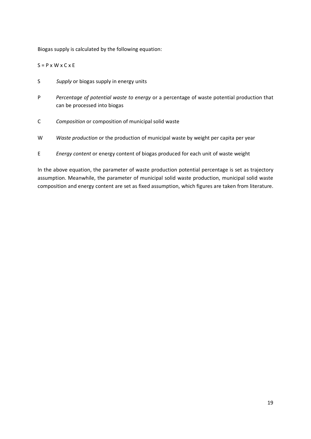Biogas supply is calculated by the following equation:

 $S = P \times W \times C \times E$ 

- S *Supply* or biogas supply in energy units
- P *Percentage of potential waste to energy* or a percentage of waste potential production that can be processed into biogas
- C *Composition* or composition of municipal solid waste
- W *Waste production* or the production of municipal waste by weight per capita per year
- E *Energy content* or energy content of biogas produced for each unit of waste weight

In the above equation, the parameter of waste production potential percentage is set as trajectory assumption. Meanwhile, the parameter of municipal solid waste production, municipal solid waste composition and energy content are set as fixed assumption, which figures are taken from literature.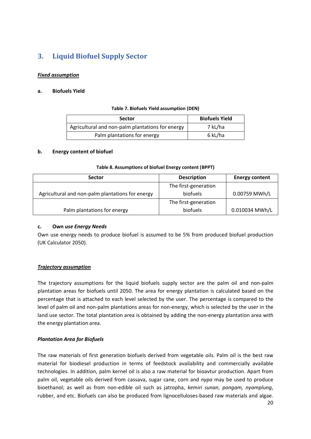# <span id="page-19-0"></span>**3. Liquid Biofuel Supply Sector**

# *Fixed assumption*

# <span id="page-19-1"></span>**a. Biofuels Yield**

#### **Table 7. Biofuels Yield assumption (DEN)**

| <b>Sector</b>                                    | <b>Biofuels Yield</b> |
|--------------------------------------------------|-----------------------|
| Agricultural and non-palm plantations for energy | 7 kL/ha               |
| Palm plantations for energy                      | 6 kL/ha               |

## **b. Energy content of biofuel**

| Table 8. Assumptions of biofuel Energy content (BPPT) |  |
|-------------------------------------------------------|--|
|                                                       |  |

<span id="page-19-2"></span>

| <b>Sector</b>                                    | <b>Description</b>   | <b>Energy content</b> |  |
|--------------------------------------------------|----------------------|-----------------------|--|
|                                                  | The first-generation |                       |  |
| Agricultural and non-palm plantations for energy | <b>biofuels</b>      | 0.00759 MWh/L         |  |
|                                                  | The first-generation |                       |  |
| Palm plantations for energy                      | <b>biofuels</b>      | 0.010034 MWh/L        |  |

#### **c. Own** *use Energy Needs*

Own use energy needs to produce biofuel is assumed to be 5% from produced biofuel production (UK Calculator 2050).

# *Trajectory assumption*

The trajectory assumptions for the liquid biofuels supply sector are the palm oil and non-palm plantation areas for biofuels until 2050. The area for energy plantation is calculated based on the percentage that is attached to each level selected by the user. The percentage is compared to the level of palm oil and non-palm plantations areas for non-energy, which is selected by the user in the land use sector. The total plantation area is obtained by adding the non-energy plantation area with the energy plantation area.

# *Plantation Area for Biofuels*

The raw materials of first generation biofuels derived from vegetable oils. Palm oil is the best raw material for biodiesel production in terms of feedstock availability and commercially available technologies. In addition, palm kernel oil is also a raw material for bioavtur production. Apart from palm oil, vegetable oils derived from cassava, sugar cane, corn and *nypa* may be used to produce bioethanol; as well as from non-edible oil such as jatropha, *kemiri sunan*, *pongam, nyamplung*, rubber, and etc. Biofuels can also be produced from lignocelluloses-based raw materials and algae.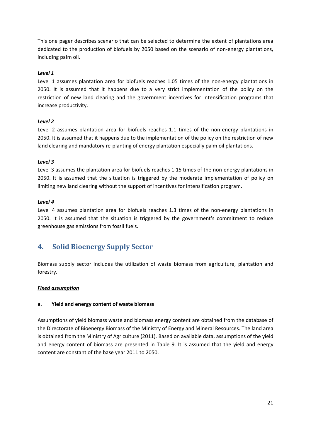This one pager describes scenario that can be selected to determine the extent of plantations area dedicated to the production of biofuels by 2050 based on the scenario of non-energy plantations, including palm oil.

# *Level 1*

Level 1 assumes plantation area for biofuels reaches 1.05 times of the non-energy plantations in 2050. It is assumed that it happens due to a very strict implementation of the policy on the restriction of new land clearing and the government incentives for intensification programs that increase productivity.

# *Level 2*

Level 2 assumes plantation area for biofuels reaches 1.1 times of the non-energy plantations in 2050. It is assumed that it happens due to the implementation of the policy on the restriction of new land clearing and mandatory re-planting of energy plantation especially palm oil plantations.

# *Level 3*

Level 3 assumes the plantation area for biofuels reaches 1.15 times of the non-energy plantations in 2050. It is assumed that the situation is triggered by the moderate implementation of policy on limiting new land clearing without the support of incentives for intensification program.

# *Level 4*

Level 4 assumes plantation area for biofuels reaches 1.3 times of the non-energy plantations in 2050. It is assumed that the situation is triggered by the government's commitment to reduce greenhouse gas emissions from fossil fuels.

# <span id="page-20-0"></span>**4. Solid Bioenergy Supply Sector**

Biomass supply sector includes the utilization of waste biomass from agriculture, plantation and forestry.

# *Fixed assumption*

# **a. Yield and energy content of waste biomass**

Assumptions of yield biomass waste and biomass energy content are obtained from the database of the Directorate of Bioenergy Biomass of the Ministry of Energy and Mineral Resources. The land area is obtained from the Ministry of Agriculture (2011). Based on available data, assumptions of the yield and energy content of biomass are presented in Table 9. It is assumed that the yield and energy content are constant of the base year 2011 to 2050.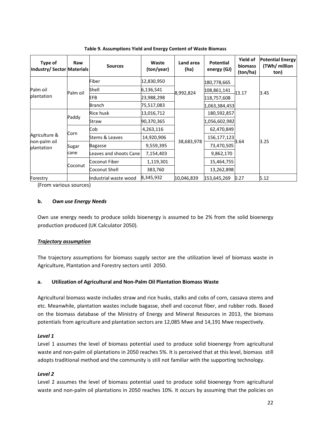<span id="page-21-0"></span>

| Type of<br>Industry/Sector Materials        | Raw           | <b>Sources</b>               | Waste<br>(ton/year) | Land area<br>(ha) | <b>Potential</b><br>energy (GJ) | <b>Yield of</b><br>biomass<br>(ton/ha) | <b>Potential Energy</b><br>(TWh/ million<br>ton) |      |
|---------------------------------------------|---------------|------------------------------|---------------------|-------------------|---------------------------------|----------------------------------------|--------------------------------------------------|------|
| Palm oil<br>plantation                      | Palm oil      | Fiber                        | 12,830,950          |                   | 8,992,824                       | 180,778,665                            |                                                  |      |
|                                             |               |                              | Shell               | 6,136,541         |                                 | 108,861,141                            | 13.17                                            | 3.45 |
|                                             |               |                              | EFB                 | 23,988,298        |                                 | 118,757,608                            |                                                  |      |
|                                             |               | <b>Branch</b>                | 75,517,083          |                   | 1,063,384,453                   |                                        |                                                  |      |
| Agriculture &<br>non-palm oil<br>plantation | Paddy         | Rice husk                    | 13,016,712          |                   | 180,592,857                     |                                        |                                                  |      |
|                                             |               | Straw                        | 90,370,365          |                   | 1,056,602,982                   |                                        |                                                  |      |
|                                             | Corn          | Cob                          | 4,263,116           |                   |                                 | 62,470,849                             |                                                  |      |
|                                             |               | 14,920,906<br>Stems & Leaves |                     | 156, 177, 123     |                                 |                                        |                                                  |      |
|                                             | Sugar<br>cane | Bagasse                      | 9,559,395           |                   | 38,683,978                      | 73,470,505                             | 3.64                                             | 3.25 |
|                                             |               | eaves and shoots Cane        | 7,154,403           |                   |                                 | 9,862,170                              |                                                  |      |
|                                             | Coconut       | Coconut Fiber                | 1,119,301           |                   |                                 | 15,464,755                             |                                                  |      |
|                                             |               | Coconut Shell                | 383,760             |                   | 13,262,898                      |                                        |                                                  |      |
| Forestry                                    |               | Industrial waste wood        | 8,345,932           | 10,046,839        | 153,645,269                     | 0.27                                   | 5.12                                             |      |

**Table 9. Assumptions Yield and Energy Content of Waste Biomass**

(From various sources)

## **b. O***wn use Energy Needs*

Own use energy needs to produce solids bioenergy is assumed to be 2% from the solid bioenergy production produced (UK Calculator 2050).

# *Trajectory assumption*

The trajectory assumptions for biomass supply sector are the utilization level of biomass waste in Agriculture, Plantation and Forestry sectors until 2050.

# **a. Utilization of Agricultural and Non-Palm Oil Plantation Biomass Waste**

Agricultural biomass waste includes straw and rice husks, stalks and cobs of corn, cassava stems and etc. Meanwhile, plantation wastes include bagasse, shell and coconut fiber, and rubber rods. Based on the biomass database of the Ministry of Energy and Mineral Resources in 2013, the biomass potentials from agriculture and plantation sectors are 12,085 Mwe and 14,191 Mwe respectively.

#### *Level 1*

Level 1 assumes the level of biomass potential used to produce solid bioenergy from agricultural waste and non-palm oil plantations in 2050 reaches 5%. It is perceived that at this level, biomass still adopts traditional method and the community is still not familiar with the supporting technology.

# *Level 2*

Level 2 assumes the level of biomass potential used to produce solid bioenergy from agricultural waste and non-palm oil plantations in 2050 reaches 10%. It occurs by assuming that the policies on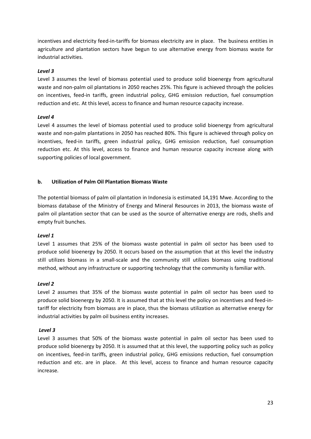incentives and electricity feed-in-tariffs for biomass electricity are in place. The business entities in agriculture and plantation sectors have begun to use alternative energy from biomass waste for industrial activities.

# *Level 3*

Level 3 assumes the level of biomass potential used to produce solid bioenergy from agricultural waste and non-palm oil plantations in 2050 reaches 25%. This figure is achieved through the policies on incentives, feed-in tariffs, green industrial policy, GHG emission reduction, fuel consumption reduction and etc. At this level, access to finance and human resource capacity increase.

## *Level 4*

Level 4 assumes the level of biomass potential used to produce solid bioenergy from agricultural waste and non-palm plantations in 2050 has reached 80%. This figure is achieved through policy on incentives, feed-in tariffs, green industrial policy, GHG emission reduction, fuel consumption reduction etc. At this level, access to finance and human resource capacity increase along with supporting policies of local government.

## **b. Utilization of Palm Oil Plantation Biomass Waste**

The potential biomass of palm oil plantation in Indonesia is estimated 14,191 Mwe. According to the biomass database of the Ministry of Energy and Mineral Resources in 2013, the biomass waste of palm oil plantation sector that can be used as the source of alternative energy are rods, shells and empty fruit bunches.

#### *Level 1*

Level 1 assumes that 25% of the biomass waste potential in palm oil sector has been used to produce solid bioenergy by 2050. It occurs based on the assumption that at this level the industry still utilizes biomass in a small-scale and the community still utilizes biomass using traditional method, without any infrastructure or supporting technology that the community is familiar with.

#### *Level 2*

Level 2 assumes that 35% of the biomass waste potential in palm oil sector has been used to produce solid bioenergy by 2050. It is assumed that at this level the policy on incentives and feed-intariff for electricity from biomass are in place, thus the biomass utilization as alternative energy for industrial activities by palm oil business entity increases.

#### *Level 3*

Level 3 assumes that 50% of the biomass waste potential in palm oil sector has been used to produce solid bioenergy by 2050. It is assumed that at this level, the supporting policy such as policy on incentives, feed-in tariffs, green industrial policy, GHG emissions reduction, fuel consumption reduction and etc. are in place. At this level, access to finance and human resource capacity increase.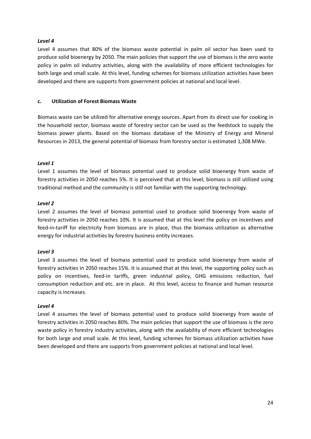## *Level 4*

Level 4 assumes that 80% of the biomass waste potential in palm oil sector has been used to produce solid bioenergy by 2050. The main policies that support the use of biomass is the zero waste policy in palm oil industry activities, along with the availability of more efficient technologies for both large and small scale. At this level, funding schemes for biomass utilization activities have been developed and there are supports from government policies at national and local level.

## **c. Utilization of Forest Biomass Waste**

Biomass waste can be utilized for alternative energy sources. Apart from its direct use for cooking in the household sector, biomass waste of forestry sector can be used as the feedstock to supply the biomass power plants. Based on the biomass database of the Ministry of Energy and Mineral Resources in 2013, the general potential of biomass from forestry sector is estimated 1,308 MWe.

## *Level 1*

Level 1 assumes the level of biomass potential used to produce solid bioenergy from waste of forestry activities in 2050 reaches 5%. It is perceived that at this level, biomass is still utilized using traditional method and the community is still not familiar with the supporting technology.

## *Level 2*

Level 2 assumes the level of biomass potential used to produce solid bioenergy from waste of forestry activities in 2050 reaches 10%. It is assumed that at this level the policy on incentives and feed-in-tariff for electricity from biomass are in place, thus the biomass utilization as alternative energy for industrial activities by forestry business entity increases.

#### *Level 3*

Level 3 assumes the level of biomass potential used to produce solid bioenergy from waste of forestry activities in 2050 reaches 15%. It is assumed that at this level, the supporting policy such as policy on incentives, feed-in tariffs, green industrial policy, GHG emissions reduction, fuel consumption reduction and etc. are in place. At this level, access to finance and human resource capacity is increases.

#### *Level 4*

Level 4 assumes the level of biomass potential used to produce solid bioenergy from waste of forestry activities in 2050 reaches 80%. The main policies that support the use of biomass is the zero waste policy in forestry industry activities, along with the availability of more efficient technologies for both large and small scale. At this level, funding schemes for biomass utilization activities have been developed and there are supports from government policies at national and local level.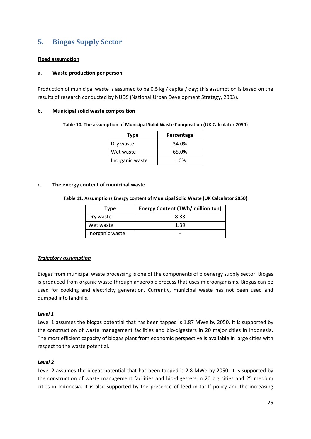# <span id="page-24-0"></span>**5. Biogas Supply Sector**

# **Fixed assumption**

#### **a. Waste production per person**

Production of municipal waste is assumed to be 0.5 kg / capita / day; this assumption is based on the results of research conducted by NUDS (National Urban Development Strategy, 2003).

#### <span id="page-24-1"></span>**b. Municipal solid waste composition**

#### **Table 10. The assumption of Municipal Solid Waste Composition (UK Calculator 2050)**

| <b>Type</b>     | Percentage |
|-----------------|------------|
| Dry waste       | 34.0%      |
| Wet waste       | 65.0%      |
| Inorganic waste | 1.0%       |

#### <span id="page-24-2"></span>**c. The energy content of municipal waste**

|  |  |  | Table 11. Assumptions Energy content of Municipal Solid Waste (UK Calculator 2050) |  |
|--|--|--|------------------------------------------------------------------------------------|--|
|--|--|--|------------------------------------------------------------------------------------|--|

| Type            | <b>Energy Content (TWh/ million ton)</b> |
|-----------------|------------------------------------------|
| Dry waste       | 8.33                                     |
| Wet waste       | 1.39                                     |
| Inorganic waste |                                          |

# *Trajectory assumption*

Biogas from municipal waste processing is one of the components of bioenergy supply sector. Biogas is produced from organic waste through anaerobic process that uses microorganisms. Biogas can be used for cooking and electricity generation. Currently, municipal waste has not been used and dumped into landfills.

#### *Level 1*

Level 1 assumes the biogas potential that has been tapped is 1.87 MWe by 2050. It is supported by the construction of waste management facilities and bio-digesters in 20 major cities in Indonesia. The most efficient capacity of biogas plant from economic perspective is available in large cities with respect to the waste potential.

#### *Level 2*

Level 2 assumes the biogas potential that has been tapped is 2.8 MWe by 2050. It is supported by the construction of waste management facilities and bio-digesters in 20 big cities and 25 medium cities in Indonesia. It is also supported by the presence of feed in tariff policy and the increasing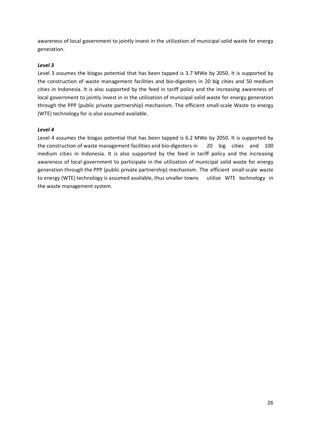awareness of local government to jointly invest in the utilization of municipal solid waste for energy generation.

# *Level 3*

Level 3 assumes the biogas potential that has been tapped is 3.7 MWe by 2050. It is supported by the construction of waste management facilities and bio-digesters in 20 big cities and 50 medium cities in Indonesia. It is also supported by the feed in tariff policy and the increasing awareness of local government to jointly invest in in the utilization of municipal solid waste for energy generation through the PPP (public private partnership) mechanism. The efficient small-scale Waste to energy (WTE) technology for is also assumed available.

# *Level 4*

Level 4 assumes the biogas potential that has been tapped is 6.2 MWe by 2050. It is supported by the construction of waste management facilities and bio-digesters in 20 big cities and 100 medium cities in Indonesia. It is also supported by the feed in tariff policy and the increasing awareness of local government to participate in the utilization of municipal solid waste for energy generation through the PPP (public private partnership) mechanism. The efficient small-scale waste to energy (WTE) technology is assumed available, thus smaller towns utilize WTE technology in the waste management system.